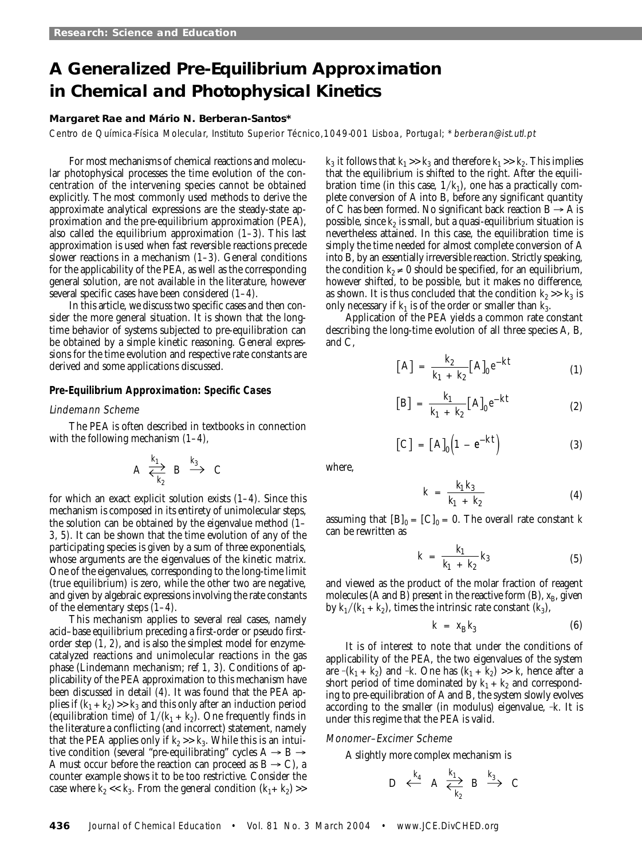# **A Generalized Pre-Equilibrium Approximation in Chemical and Photophysical Kinetics**

## **Margaret Rae and Mário N. Berberan-Santos\***

Centro de Química-Física Molecular, Instituto Superior Técnico,1049-001 Lisboa, Portugal; \*berberan@ist.utl.pt

For most mechanisms of chemical reactions and molecular photophysical processes the time evolution of the concentration of the intervening species cannot be obtained explicitly. The most commonly used methods to derive the approximate analytical expressions are the steady-state approximation and the pre-equilibrium approximation (PEA), also called the equilibrium approximation *(1–3)*. This last approximation is used when fast reversible reactions precede slower reactions in a mechanism *(1–3).* General conditions for the applicability of the PEA, as well as the corresponding general solution, are not available in the literature, however several specific cases have been considered *(1–4)*.

In this article, we discuss two specific cases and then consider the more general situation. It is shown that the longtime behavior of systems subjected to pre-equilibration can be obtained by a simple kinetic reasoning. General expressions for the time evolution and respective rate constants are derived and some applications discussed.

# **Pre-Equilibrium Approximation: Specific Cases**

## Lindemann Scheme

The PEA is often described in textbooks in connection with the following mechanism *(1–4),*

$$
A \stackrel{k_1}{\longleftrightarrow} B \stackrel{k_3}{\longrightarrow} C
$$

for which an exact explicit solution exists *(1–4)*. Since this mechanism is composed in its entirety of unimolecular steps, the solution can be obtained by the eigenvalue method *(1– 3, 5)*. It can be shown that the time evolution of any of the participating species is given by a sum of three exponentials, whose arguments are the eigenvalues of the kinetic matrix. One of the eigenvalues, corresponding to the long-time limit (true equilibrium) is zero, while the other two are negative, and given by algebraic expressions involving the rate constants of the elementary steps *(1–4)*.

This mechanism applies to several real cases, namely acid–base equilibrium preceding a first-order or pseudo firstorder step *(1, 2)*, and is also the simplest model for enzymecatalyzed reactions and unimolecular reactions in the gas phase (Lindemann mechanism; ref *1, 3*). Conditions of applicability of the PEA approximation to this mechanism have been discussed in detail *(4)*. It was found that the PEA applies if  $(k_1 + k_2) \gg k_3$  and this only after an induction period (equilibration time) of  $1/(k_1 + k_2)$ . One frequently finds in the literature a conflicting (and incorrect) statement, namely that the PEA applies only if  $k_2 \gg k_3$ . While this is an intuitive condition (several "pre-equilibrating" cycles  $A \rightarrow B \rightarrow$ A must occur before the reaction can proceed as  $B \to C$ ), a counter example shows it to be too restrictive. Consider the case where  $k_2 \ll k_3$ . From the general condition  $(k_1 + k_2)$  >>

 $k_3$  it follows that  $k_1 \gg k_3$  and therefore  $k_1 \gg k_2$ . This implies that the equilibrium is shifted to the right. After the equilibration time (in this case,  $1/k<sub>1</sub>$ ), one has a practically complete conversion of A into B, before any significant quantity of C has been formed. No significant back reaction  $B \rightarrow A$  is possible, since  $k_2$  is small, but a quasi-equilibrium situation is nevertheless attained. In this case, the equilibration time is simply the time needed for almost complete conversion of A into B, by an essentially irreversible reaction. Strictly speaking, the condition  $k_2 \neq 0$  should be specified, for an equilibrium, however shifted, to be possible, but it makes no difference, as shown. It is thus concluded that the condition  $k_2 \gg k_3$  is only necessary if  $k_1$  is of the order or smaller than  $k_3$ .

Application of the PEA yields a common rate constant describing the long-time evolution of all three species A, B, and C,

$$
[A] = \frac{k_2}{k_1 + k_2} [A]_0 e^{-kt}
$$
 (1)

$$
[B] = \frac{k_1}{k_1 + k_2} [A]_0 e^{-kt}
$$
 (2)

$$
\left[\mathbf{C}\right] = \left[\mathbf{A}\right]_0 \left(1 - e^{-kt}\right) \tag{3}
$$

where,

$$
k = \frac{k_1 k_3}{k_1 + k_2} \tag{4}
$$

assuming that  $[B]_0 = [C]_0 = 0$ . The overall rate constant *k* can be rewritten as

$$
k = \frac{k_1}{k_1 + k_2} k_3 \tag{5}
$$

and viewed as the product of the molar fraction of reagent molecules (A and B) present in the reactive form (B),  $x_B$ , given by  $k_1/(k_1 + k_2)$ , times the intrinsic rate constant  $(k_3)$ ,

$$
k = x_{\rm B} k_3 \tag{6}
$$

It is of interest to note that under the conditions of applicability of the PEA, the two eigenvalues of the system are  $-(k_1 + k_2)$  and  $-k$ . One has  $(k_1 + k_2) >> k$ , hence after a short period of time dominated by  $k_1 + k_2$  and corresponding to pre-equilibration of A and B, the system slowly evolves according to the smaller (in modulus) eigenvalue,  $-k$ . It is under this regime that the PEA is valid.

## Monomer–Excimer Scheme

A slightly more complex mechanism is

$$
D \leftarrow \begin{array}{c} k_4 \\ A \leftarrow \end{array} A \begin{array}{c} k_1 \\ \leftarrow k_2 \end{array} B \begin{array}{c} k_3 \\ \rightarrow \end{array} C
$$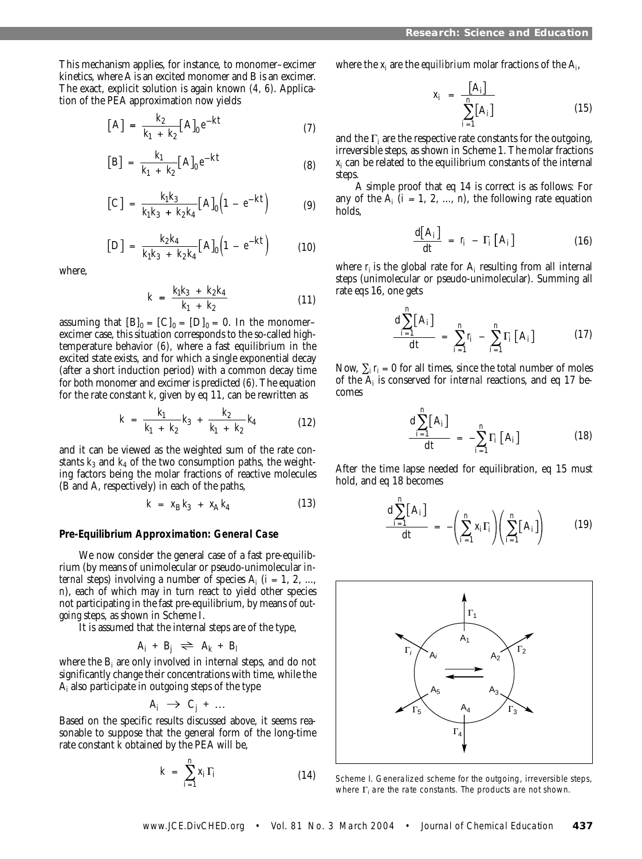This mechanism applies, for instance, to monomer–excimer kinetics, where A is an excited monomer and B is an excimer. The exact, explicit solution is again known *(4, 6)*. Application of the PEA approximation now yields

$$
[A] = \frac{k_2}{k_1 + k_2} [A]_0 e^{-kt}
$$
 (7)

$$
[B] = \frac{k_1}{k_1 + k_2} [A]_0 e^{-kt}
$$
 (8)

$$
[C] = \frac{k_1 k_3}{k_1 k_3 + k_2 k_4} [A]_0 \Big( 1 - e^{-kt} \Big)
$$
 (9)

$$
[D] = \frac{k_2 k_4}{k_1 k_3 + k_2 k_4} [A]_0 \Big( 1 - e^{-kt} \Big) \tag{10}
$$

where,

$$
k = \frac{k_1 k_3 + k_2 k_4}{k_1 + k_2} \tag{11}
$$

assuming that  $[B]_0 = [C]_0 = [D]_0 = 0$ . In the monomerexcimer case, this situation corresponds to the so-called hightemperature behavior *(6),* where a fast equilibrium in the excited state exists, and for which a single exponential decay (after a short induction period) with a common decay time for both monomer and excimer is predicted *(6)*. The equation for the rate constant *k*, given by eq 11, can be rewritten as

$$
k = \frac{k_1}{k_1 + k_2} k_3 + \frac{k_2}{k_1 + k_2} k_4 \tag{12}
$$

and it can be viewed as the weighted sum of the rate constants  $k_3$  and  $k_4$  of the two consumption paths, the weighting factors being the molar fractions of reactive molecules (B and A, respectively) in each of the paths,

$$
k = x_{B} k_{3} + x_{A} k_{4}
$$
 (13)

#### **Pre-Equilibrium Approximation: General Case**

We now consider the general case of a fast pre-equilibrium (by means of unimolecular or pseudo-unimolecular *internal* steps) involving a number of species  $A_i$  ( $i = 1, 2, ...$ , *n*), each of which may in turn react to yield other species not participating in the fast pre-equilibrium, by means of *outgoing* steps, as shown in Scheme I.

It is assumed that the internal steps are of the type,

$$
A_i + B_j \rightleftharpoons A_k + B_l
$$

where the B<sub>i</sub> are only involved in internal steps, and do not significantly change their concentrations with time, while the  ${\rm A_i}$  also participate in outgoing steps of the type

$$
A_i \rightarrow C_j + \dots
$$

Based on the specific results discussed above, it seems reasonable to suppose that the general form of the long-time rate constant *k* obtained by the PEA will be,

$$
k = \sum_{i=1}^{n} x_i \Gamma_i \tag{14}
$$

where the  $x_i$  are the *equilibrium* molar fractions of the  $A_i$ 

$$
x_i = \frac{\begin{bmatrix} A_i \end{bmatrix}}{\sum_{i=1}^n \begin{bmatrix} A_i \end{bmatrix}} \tag{15}
$$

and the  $\Gamma_i$  are the respective rate constants for the outgoing, irreversible steps, as shown in Scheme 1. The molar fractions  $x_i$  can be related to the equilibrium constants of the internal  $\overline{a}$ steps.

A simple proof that eq 14 is correct is as follows*:* For any of the  $A_i$  ( $i = 1, 2, ..., n$ ), the following rate equation holds,

$$
\frac{\mathrm{d}[A_i]}{\mathrm{d}t} = r_i - \Gamma_i [A_i] \tag{16}
$$

where  $r_i$  is the global rate for  $A_i$  resulting from all internal steps (unimolecular or pseudo-unimolecular). Summing all rate eqs 16, one gets

$$
\frac{d \sum_{i=1}^{n} [A_{i}]}{dt} = \sum_{i=1}^{n} r_{i} - \sum_{i=1}^{n} \Gamma_{i} [A_{i}]
$$
 (17)

Now,  $\sum_i r_i = 0$  for all times, since the total number of moles of the A*<sup>i</sup>* is conserved for *internal* reactions, and eq 17 becomes

$$
\frac{\mathrm{d}\sum_{i=1}^{n}[\mathbf{A}_{i}]}{\mathrm{d}t} = -\sum_{i=1}^{n}\Gamma_{i}[\mathbf{A}_{i}] \qquad (18)
$$

After the time lapse needed for equilibration, eq 15 must hold, and eq 18 becomes

$$
\frac{\mathrm{d}\sum_{i=1}^{n}[\mathbf{A}_{i}]}{\mathrm{d}t} = -\left(\sum_{i=1}^{n}x_{i}\Gamma_{i}\right)\left(\sum_{i=1}^{n}[\mathbf{A}_{i}]\right) \tag{19}
$$



Scheme I. Generalized scheme for the outgoing, irreversible steps, where  $\Gamma_i$  are the rate constants. The products are not shown.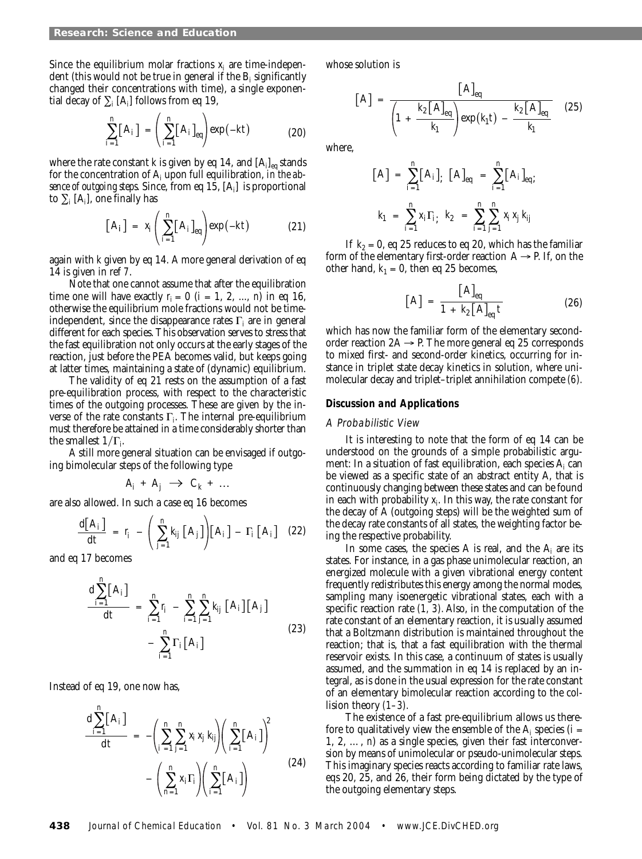Since the equilibrium molar fractions  $x_i$  are time-independent (this would not be true in general if the B*<sup>i</sup>* significantly changed their concentrations with time), a single exponential decay of  $\sum_i [A_i]$  follows from eq 19,

$$
\sum_{i=1}^{n} [A_i] = \left(\sum_{i=1}^{n} [A_i]_{eq}\right) \exp(-kt) \tag{20}
$$

where the rate constant  $k$  is given by eq 14, and  $\mathrm{[A_{i}]_{eq}}$  stands for the concentration of A*<sup>i</sup>* upon full equilibration, *in the absence of outgoing steps*. Since, from eq 15, [A*<sup>i</sup>* ] is proportional to  $\sum_i [A_i]$ , one finally has

$$
\left[A_{i}\right] = x_{i}\left(\sum_{i=1}^{n} \left[A_{i}\right]_{\text{eq}}\right) \exp(-kt) \tag{21}
$$

again with *k* given by eq 14. A more general derivation of eq 14 is given in ref *7*.

Note that one cannot assume that after the equilibration time one will have exactly  $r_i = 0$  ( $i = 1, 2, ..., n$ ) in eq 16, otherwise the equilibrium mole fractions would not be timeindependent, since the disappearance rates Γ*<sup>i</sup>* are in general different for each species. This observation serves to stress that the fast equilibration not only occurs at the early stages of the reaction, just before the PEA becomes valid, but keeps going at latter times, maintaining a state of (dynamic) equilibrium.

The validity of eq 21 rests on the assumption of a fast pre-equilibration process, with respect to the characteristic times of the outgoing processes. These are given by the inverse of the rate constants Γ*<sup>i</sup>* . The internal pre-equilibrium must therefore be attained in a time considerably shorter than the smallest  $1/\Gamma_f$ 

A still more general situation can be envisaged if outgoing bimolecular steps of the following type

$$
A_i + A_j \rightarrow C_k + \dots
$$

are also allowed. In such a case eq 16 becomes

$$
\frac{\mathrm{d}[A_i]}{\mathrm{d}t} = r_i - \left(\sum_{j=1}^n k_{ij} [A_j] \right) [A_i] - \Gamma_i [A_i] \quad (22)
$$

and eq 17 becomes

$$
\frac{\mathrm{d}\sum_{i=1}^{n} [A_{i}]}{\mathrm{d}t} = \sum_{i=1}^{n} r_{i} - \sum_{i=1}^{n} \sum_{j=1}^{n} k_{ij} [A_{i}][A_{j}] - \sum_{i=1}^{n} \Gamma_{i}[A_{i}] \qquad (23)
$$

Instead of eq 19, one now has,

$$
\frac{\mathrm{d}\sum_{i=1}^{n}[\mathbf{A}_{i}]}{\mathrm{d}t} = -\left(\sum_{i=1}^{n}\sum_{j=1}^{n}x_{i}x_{j}k_{ij}\right)\left(\sum_{i=1}^{n}[\mathbf{A}_{i}]\right)^{2} - \left(\sum_{n=1}^{n}x_{i}\Gamma_{i}\right)\left(\sum_{i=1}^{n}[\mathbf{A}_{i}]\right)
$$
\n(24)

whose solution is

$$
[A] = \frac{[A]_{eq}}{\left(1 + \frac{k_2[A]_{eq}}{k_1}\right) \exp(k_1 t) - \frac{k_2[A]_{eq}}{k_1}}
$$
 (25)

where,

$$
[A] = \sum_{i=1}^{n} [A_{i}]_{;} [A]_{eq} = \sum_{i=1}^{n} [A_{i}]_{eq};
$$
  

$$
k_{1} = \sum_{i=1}^{n} x_{i} \Gamma_{i;} k_{2} = \sum_{i=1}^{n} \sum_{j=1}^{n} x_{i} x_{j} k_{ij}
$$

If  $k_2 = 0$ , eq 25 reduces to eq 20, which has the familiar form of the elementary first-order reaction  $A \rightarrow P$ . If, on the other hand,  $k_1 = 0$ , then eq 25 becomes,

$$
[A] = \frac{[A]_{eq}}{1 + k_2 [A]_{eq} t}
$$
 (26)

which has now the familiar form of the elementary secondorder reaction  $2A \rightarrow P$ . The more general eq 25 corresponds to mixed first- and second-order kinetics, occurring for instance in triplet state decay kinetics in solution, where unimolecular decay and triplet–triplet annihilation compete *(6).*

#### **Discussion and Applications**

#### A Probabilistic View

It is interesting to note that the form of eq 14 can be understood on the grounds of a simple probabilistic argument: In a situation of fast equilibration, each species A*<sup>i</sup>* can be viewed as a specific state of an abstract entity A, that is continuously changing between these states and can be found in each with probability *xi* . In this way, the rate constant for the decay of A (outgoing steps) will be the weighted sum of the decay rate constants of all states, the weighting factor being the respective probability.

In some cases, the species A is real, and the  $A_i$  are its states. For instance, in a gas phase unimolecular reaction, an energized molecule with a given vibrational energy content frequently redistributes this energy among the normal modes, sampling many isoenergetic vibrational states, each with a specific reaction rate *(1, 3).* Also, in the computation of the rate constant of an elementary reaction, it is usually assumed that a Boltzmann distribution is maintained throughout the reaction; that is, that a fast equilibration with the thermal reservoir exists. In this case, a continuum of states is usually assumed, and the summation in eq 14 is replaced by an integral, as is done in the usual expression for the rate constant of an elementary bimolecular reaction according to the collision theory *(1–3).*

The existence of a fast pre-equilibrium allows us therefore to qualitatively view the ensemble of the  $A_i$  species ( $i =$ 1, 2, …, *n*) as a single species, given their fast interconversion by means of unimolecular or pseudo-unimolecular steps. This imaginary species reacts according to familiar rate laws, eqs 20, 25, and 26, their form being dictated by the type of the outgoing elementary steps.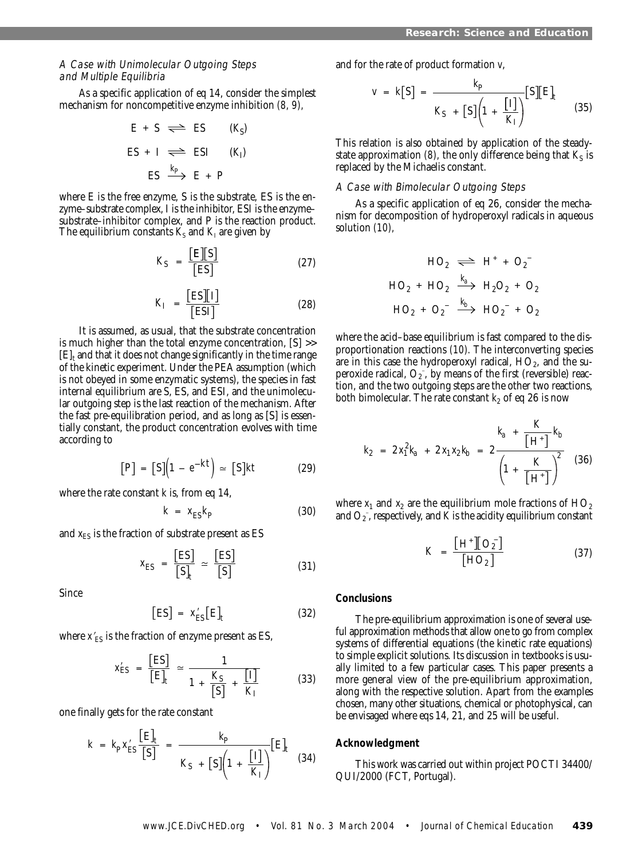# A Case with Unimolecular Outgoing Steps and Multiple Equilibria

As a specific application of eq 14, consider the simplest mechanism for noncompetitive enzyme inhibition *(8, 9),*

$$
E + S \iff ES \qquad (K_S)
$$
  
\n
$$
ES + I \iff ESI \qquad (K_I)
$$
  
\n
$$
ES \xrightarrow{K_P} E + P
$$

where E is the free enzyme, S is the substrate, ES is the enzyme–substrate complex, I is the inhibitor, ESI is the enzyme– substrate–inhibitor complex, and P is the reaction product. The equilibrium constants  $\textit{K}_{\text{s}}$  and  $\textit{K}_{\text{I}}$  are given by

$$
K_{\rm S} = \frac{\begin{bmatrix} \mathbf{E} \end{bmatrix} \begin{bmatrix} \mathbf{S} \end{bmatrix}}{\begin{bmatrix} \mathbf{E} \mathbf{S} \end{bmatrix}} \tag{27}
$$

$$
K_{\rm I} = \frac{\text{[ES][I]}}{\text{[ESI]}}
$$
 (28)

It is assumed, as usual, that the substrate concentration is much higher than the total enzyme concentration, [S] >>  $[E]_t$  and that it does not change significantly in the time range of the kinetic experiment. Under the PEA assumption (which is not obeyed in some enzymatic systems), the species in fast internal equilibrium are S, ES, and ESI, and the unimolecular outgoing step is the last reaction of the mechanism. After the fast pre-equilibration period, and as long as [S] is essentially constant, the product concentration evolves with time according to

$$
[P] = [S](1 - e^{-kt}) \simeq [S]kt \tag{29}
$$

where the rate constant *k* is, from eq 14,

$$
k = x_{\rm ES} k_{\rm P} \tag{30}
$$

and  $x_{ES}$  is the fraction of substrate present as  $ES$ 

$$
X_{\text{ES}} = \frac{\text{[ES]}}{\text{[S]}_t} \simeq \frac{\text{[ES]}}{\text{[S]}}
$$
(31)

Since

$$
\left[ \mathrm{ES} \right] = x_{\mathrm{ES}}^{\prime} \left[ \mathrm{E} \right]_{t} \tag{32}
$$

where  $x'_{ES}$  is the fraction of enzyme present as ES,

$$
x'_{\text{ES}} = \frac{\text{[ES]}}{\text{[E]}_t} \approx \frac{1}{1 + \frac{K_\text{S}}{\text{[S]}} + \frac{\text{[I]}}{K_\text{I}}}
$$
(33)

one finally gets for the rate constant

$$
k = k_{\rm p} x'_{\rm ES} \frac{\left[E\right]_t}{\left[S\right]} = \frac{k_{\rm p}}{K_{\rm S} + \left[S\right]\left(1 + \frac{\left[I\right]}{K_{\rm I}}\right)} \left[E\right]_t \quad (34)
$$

and for the rate of product formation *v*,

$$
v = k[S] = \frac{k_{P}}{K_{S} + [S] \left(1 + \frac{[I]}{K_{I}}\right)} [S][E]_{t}
$$
(35)

This relation is also obtained by application of the steadystate approximation *(8)*, the only difference being that  $K_S$  is replaced by the Michaelis constant.

# A Case with Bimolecular Outgoing Steps

As a specific application of eq 26, consider the mechanism for decomposition of hydroperoxyl radicals in aqueous solution *(10),*

$$
HO_2 \iff H^+ + O_2^-
$$
  

$$
HO_2 + HO_2 \xrightarrow{k_a} H_2O_2 + O_2
$$
  

$$
HO_2 + O_2^- \xrightarrow{k_b} HO_2^- + O_2
$$

where the acid–base equilibrium is fast compared to the disproportionation reactions *(10).* The interconverting species are in this case the hydroperoxyl radical,  $HO_2$ , and the superoxide radical,  $O_2^-$ , by means of the first (reversible) reaction, and the two outgoing steps are the other two reactions, both bimolecular. The rate constant  $k_2$  of eq 26 is now

$$
k_2 = 2 x_1^2 k_a + 2 x_1 x_2 k_b = 2 \frac{k_a + \frac{K}{\left[\mathrm{H}^+\right]} k_b}{\left(1 + \frac{K}{\left[\mathrm{H}^+\right]}\right)^2} \tag{36}
$$

where  $x_1$  and  $x_2$  are the equilibrium mole fractions of  $HO_2$ and  $\mathrm{O}_2$  , respectively, and  $\bar{K}$  is the acidity equilibrium constant

$$
K = \frac{\left[\mathrm{H}^+\right]\!\left[\mathrm{O}_2^-\right]}{\left[\mathrm{HO}_2\right]} \tag{37}
$$

## **Conclusions**

The pre-equilibrium approximation is one of several useful approximation methods that allow one to go from complex systems of differential equations (the kinetic rate equations) to simple explicit solutions. Its discussion in textbooks is usually limited to a few particular cases. This paper presents a more general view of the pre-equilibrium approximation, along with the respective solution. Apart from the examples chosen, many other situations, chemical or photophysical, can be envisaged where eqs 14, 21, and 25 will be useful.

## **Acknowledgment**

This work was carried out within project POCTI 34400/ QUI/2000 (FCT, Portugal).